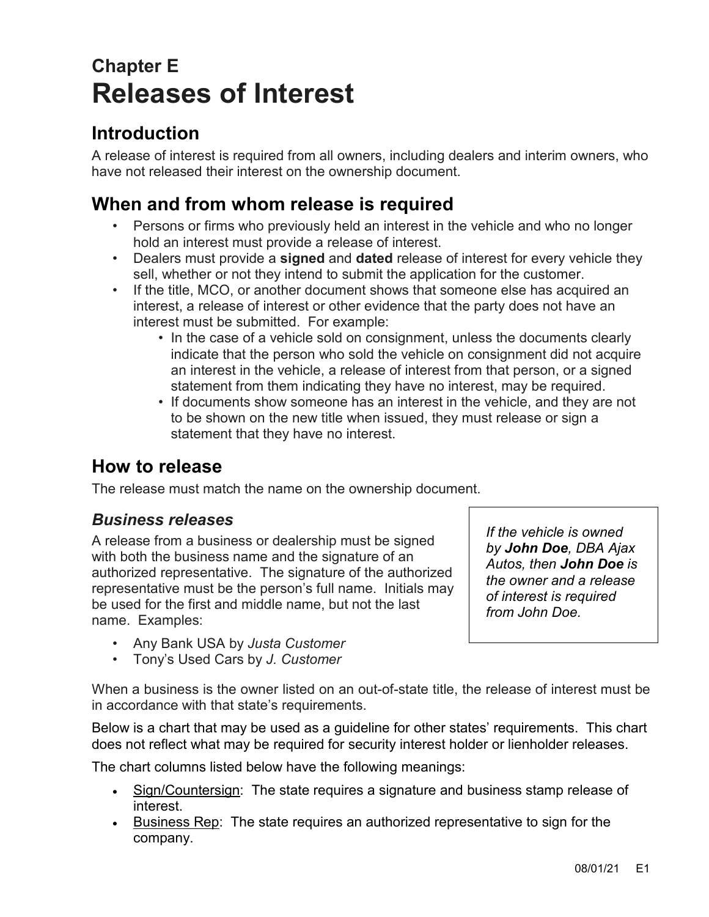# **Chapter E Releases of Interest**

# **Introduction**

A release of interest is required from all owners, including dealers and interim owners, who have not released their interest on the ownership document.

# **When and from whom release is required**

- Persons or firms who previously held an interest in the vehicle and who no longer hold an interest must provide a release of interest.
- Dealers must provide a **signed** and **dated** release of interest for every vehicle they sell, whether or not they intend to submit the application for the customer.
- If the title, MCO, or another document shows that someone else has acquired an interest, a release of interest or other evidence that the party does not have an interest must be submitted. For example:
	- In the case of a vehicle sold on consignment, unless the documents clearly indicate that the person who sold the vehicle on consignment did not acquire an interest in the vehicle, a release of interest from that person, or a signed statement from them indicating they have no interest, may be required.
	- If documents show someone has an interest in the vehicle, and they are not to be shown on the new title when issued, they must release or sign a statement that they have no interest.

# **How to release**

The release must match the name on the ownership document.

#### *Business releases*

A release from a business or dealership must be signed with both the business name and the signature of an authorized representative. The signature of the authorized representative must be the person's full name. Initials may be used for the first and middle name, but not the last name. Examples:

- Any Bank USA by *Justa Customer*
- Tony's Used Cars by *J. Customer*

*by John Doe, DBA Ajax Autos, then John Doe is the owner and a release of interest is required from John Doe.*

*If the vehicle is owned* 

When a business is the owner listed on an out-of-state title, the release of interest must be in accordance with that state's requirements.

Below is a chart that may be used as a guideline for other states' requirements. This chart does not reflect what may be required for security interest holder or lienholder releases.

The chart columns listed below have the following meanings:

- Sign/Countersign: The state requires a signature and business stamp release of interest.
- Business Rep: The state requires an authorized representative to sign for the company.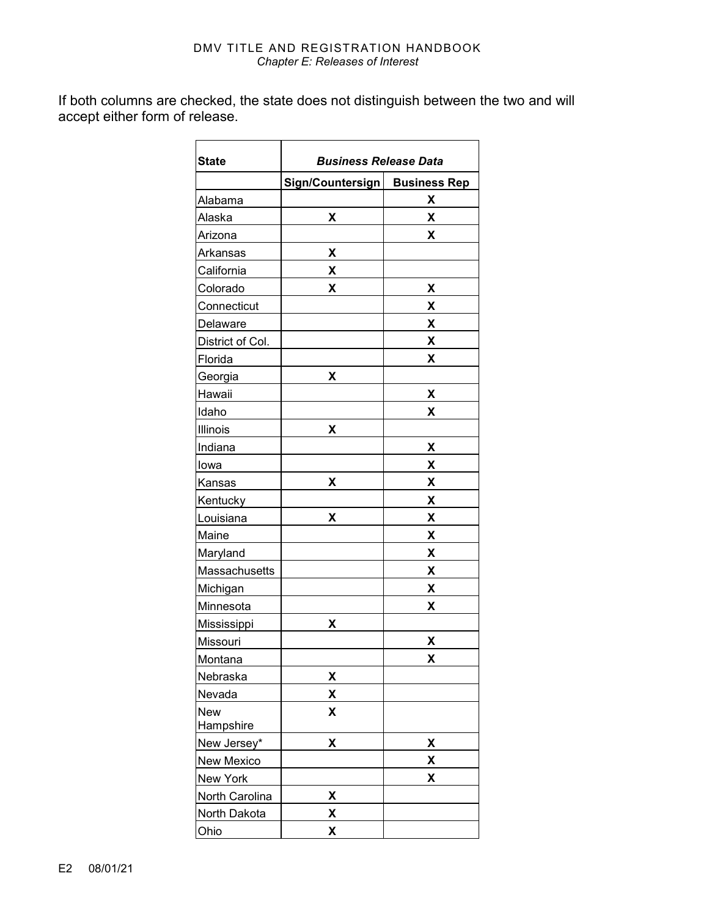#### DMV TITLE AND REGISTRATION HANDBOOK *Chapter E: Releases of Interest*

If both columns are checked, the state does not distinguish between the two and will accept either form of release.

| <b>State</b>            | <b>Business Release Data</b> |                     |
|-------------------------|------------------------------|---------------------|
|                         | Sign/Countersign             | <b>Business Rep</b> |
| Alabama                 |                              | Χ                   |
| Alaska                  | X                            | X                   |
| Arizona                 |                              | X                   |
| Arkansas                | Χ                            |                     |
| California              | χ                            |                     |
| Colorado                | X                            | X                   |
| Connecticut             |                              | Χ                   |
| Delaware                |                              | χ                   |
| District of Col.        |                              | X                   |
| Florida                 |                              | X                   |
| Georgia                 | χ                            |                     |
| Hawaii                  |                              | χ                   |
| Idaho                   |                              | Χ                   |
| Illinois                | Χ                            |                     |
| Indiana                 |                              | X                   |
| lowa                    |                              | X                   |
| Kansas                  | X                            | χ                   |
| Kentucky                |                              | Χ                   |
| Louisiana               | X                            | X                   |
| Maine                   |                              | Χ                   |
| Maryland                |                              | χ                   |
| Massachusetts           |                              | Χ                   |
| Michigan                |                              | X                   |
| Minnesota               |                              | χ                   |
| Mississippi             | X                            |                     |
| Missouri                |                              | χ                   |
| Montana                 |                              | X                   |
| Nebraska                | Χ                            |                     |
| Nevada                  | χ                            |                     |
| <b>New</b><br>Hampshire | χ                            |                     |
| New Jersey*             | X                            | χ                   |
| New Mexico              |                              | X                   |
| New York                |                              | X                   |
| North Carolina          | χ                            |                     |
| North Dakota            | χ                            |                     |
| Ohio                    | χ                            |                     |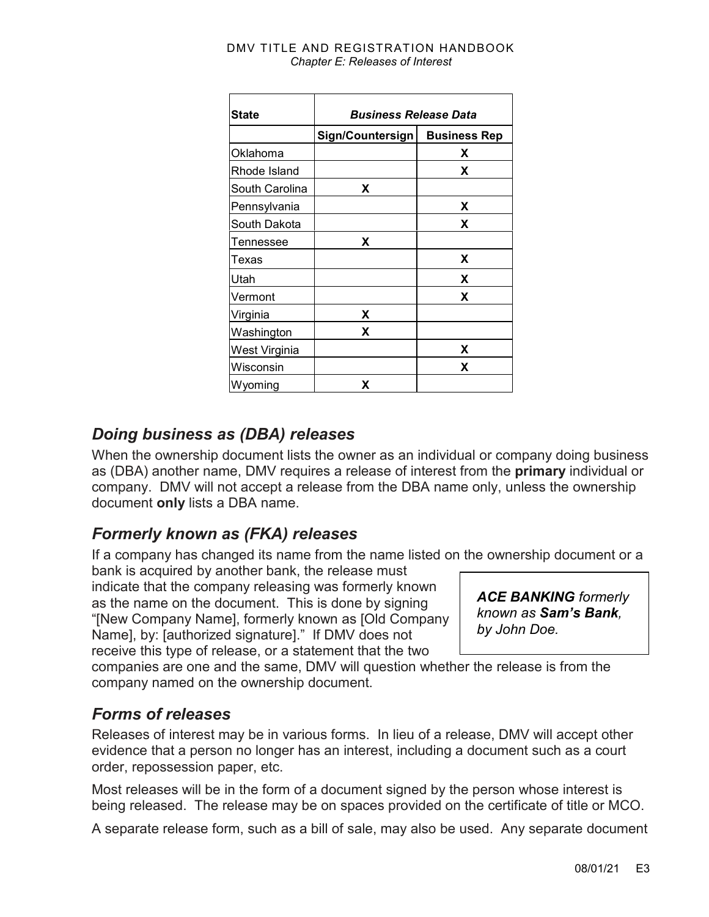| <b>State</b>   | <b>Business Release Data</b> |                     |  |
|----------------|------------------------------|---------------------|--|
|                | Sign/Countersign             | <b>Business Rep</b> |  |
| Oklahoma       |                              | x                   |  |
| Rhode Island   |                              | X                   |  |
| South Carolina | X                            |                     |  |
| Pennsylvania   |                              | x                   |  |
| South Dakota   |                              | X                   |  |
| Tennessee      | X                            |                     |  |
| Texas          |                              | X                   |  |
| Utah           |                              | X                   |  |
| Vermont        |                              | X                   |  |
| Virginia       | X                            |                     |  |
| Washington     | x                            |                     |  |
| West Virginia  |                              | x                   |  |
| Wisconsin      |                              | X                   |  |
| Wyoming        | X                            |                     |  |

#### DMV TITLE AND REGISTRATION HANDBOOK *Chapter E: Releases of Interest*

### *Doing business as (DBA) releases*

When the ownership document lists the owner as an individual or company doing business as (DBA) another name, DMV requires a release of interest from the **primary** individual or company. DMV will not accept a release from the DBA name only, unless the ownership document **only** lists a DBA name.

## *Formerly known as (FKA) releases*

If a company has changed its name from the name listed on the ownership document or a

bank is acquired by another bank, the release must indicate that the company releasing was formerly known as the name on the document. This is done by signing "[New Company Name], formerly known as [Old Company Name], by: [authorized signature]." If DMV does not receive this type of release, or a statement that the two

*ACE BANKING formerly known as Sam's Bank, by John Doe.*

companies are one and the same, DMV will question whether the release is from the company named on the ownership document.

### *Forms of releases*

Releases of interest may be in various forms. In lieu of a release, DMV will accept other evidence that a person no longer has an interest, including a document such as a court order, repossession paper, etc.

Most releases will be in the form of a document signed by the person whose interest is being released. The release may be on spaces provided on the certificate of title or MCO.

A separate release form, such as a bill of sale, may also be used. Any separate document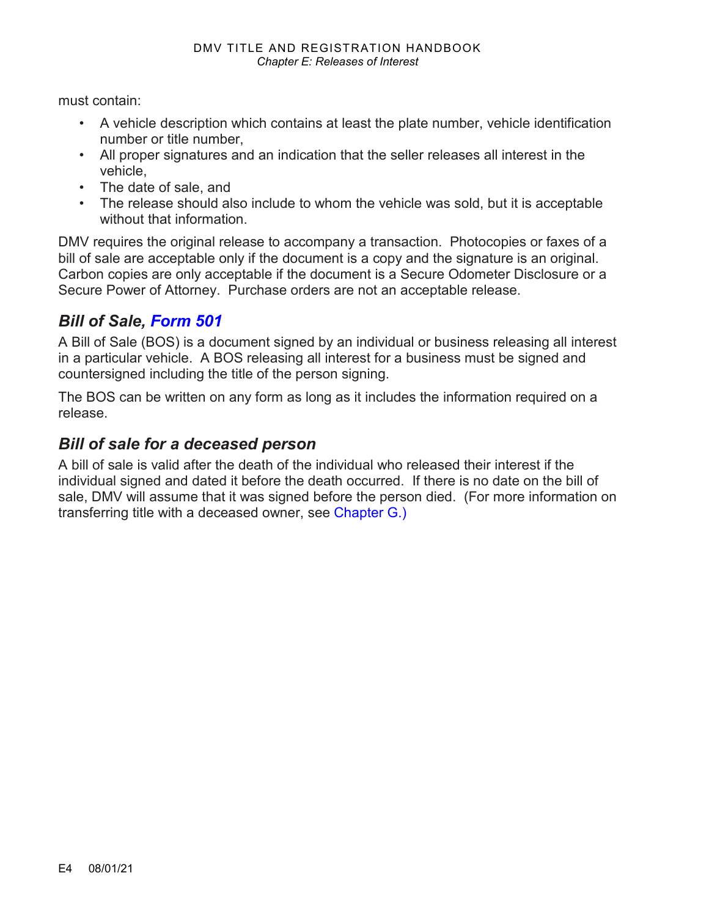must contain:

- A vehicle description which contains at least the plate number, vehicle identification number or title number,
- All proper signatures and an indication that the seller releases all interest in the vehicle,
- The date of sale, and
- The release should also include to whom the vehicle was sold, but it is acceptable without that information.

DMV requires the original release to accompany a transaction. Photocopies or faxes of a bill of sale are acceptable only if the document is a copy and the signature is an original. Carbon copies are only acceptable if the document is a Secure Odometer Disclosure or a Secure Power of Attorney. Purchase orders are not an acceptable release.

### *Bill of Sale, [Form 501](https://www.odot.state.or.us/forms/dmv/501fill.pdf)*

A Bill of Sale (BOS) is a document signed by an individual or business releasing all interest in a particular vehicle. A BOS releasing all interest for a business must be signed and countersigned including the title of the person signing.

The BOS can be written on any form as long as it includes the information required on a release.

#### *Bill of sale for a deceased person*

A bill of sale is valid after the death of the individual who released their interest if the individual signed and dated it before the death occurred. If there is no date on the bill of sale, DMV will assume that it was signed before the person died. (For more information on transferring title with a deceased owner, see [Chapter G.](https://www.oregon.gov/ODOT/DMV/docs/VTRH/Chapter_G.pdf))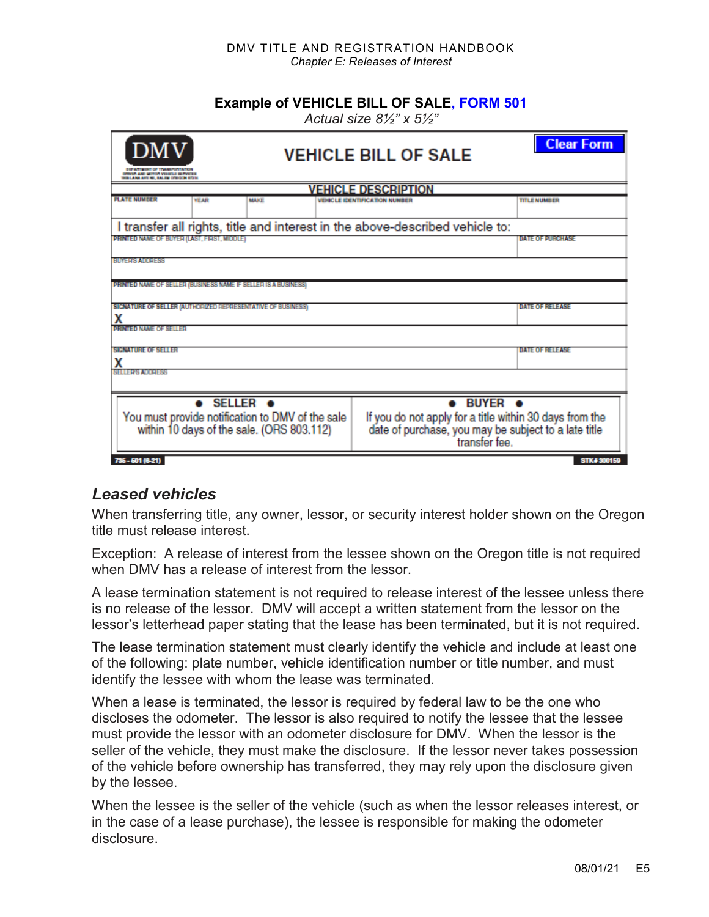#### DMV TITLE AND REGISTRATION HANDBOOK *Chapter E: Releases of Interest*

#### **Example of VEHICLE BILL OF SALE, [FORM 501](https://www.odot.state.or.us/forms/dmv/501fill.pdf)**

*Actual size 8½" x 5½"*

| <b>DMV</b><br>DER ATTACKT OF TEARER COATES<br>DESPER AND MOTOR VEHICLE BETWEEN<br><b>BOB LANG AVE NE. BALEM CITECOM RTES</b> |             | <b>VEHICLE BILL OF SALE</b>                                                                                                                                   | <b>Clear Form</b>      |
|------------------------------------------------------------------------------------------------------------------------------|-------------|---------------------------------------------------------------------------------------------------------------------------------------------------------------|------------------------|
|                                                                                                                              |             | <b>VEHICLE DESCRIPTION</b>                                                                                                                                    |                        |
| <b>PLATE NUMBER</b><br>YEAR                                                                                                  | <b>MAKE</b> | <b>VEHICLE IDENTIFICATION NUMBER</b>                                                                                                                          | <b>TITLE NUMBER</b>    |
|                                                                                                                              |             | I transfer all rights, title and interest in the above-described vehicle to:                                                                                  |                        |
| PRINTED NAME OF BUYER (LAST, FIRST, MIDDLE)                                                                                  |             |                                                                                                                                                               | DATE OF BURGHASE       |
| <b>BUYER'S ADDRESS</b><br><b>PRINTED NAME OF SELLER (BUSINESS NAME IF SELLER IS A BUSINESS)</b>                              |             |                                                                                                                                                               |                        |
|                                                                                                                              |             |                                                                                                                                                               |                        |
| SIGNATURE OF SELLER (AUTHORIZED REPRESENTATIVE OF BUSINESS)<br>х                                                             |             |                                                                                                                                                               | DATE OF RELEASE        |
| <b>Q:RNISIONAME OF SETTED</b>                                                                                                |             |                                                                                                                                                               |                        |
| <b>SIGNATURE OF SELLER</b><br>Χ                                                                                              |             |                                                                                                                                                               | <b>DATE OF RELEASE</b> |
| SELLER'S ADDRESS                                                                                                             |             |                                                                                                                                                               |                        |
| $\bullet$ SELLER $\bullet$<br>You must provide notification to DMV of the sale<br>within 10 days of the sale. (ORS 803.112)  |             | $\bullet$ BUYER $\bullet$<br>If you do not apply for a title within 30 days from the<br>date of purchase, you may be subject to a late title<br>transfer fee. |                        |
| 735-501 (6-21)                                                                                                               |             |                                                                                                                                                               | <b>STK# 300159</b>     |

#### *Leased vehicles*

When transferring title, any owner, lessor, or security interest holder shown on the Oregon title must release interest.

Exception: A release of interest from the lessee shown on the Oregon title is not required when DMV has a release of interest from the lessor.

A lease termination statement is not required to release interest of the lessee unless there is no release of the lessor. DMV will accept a written statement from the lessor on the lessor's letterhead paper stating that the lease has been terminated, but it is not required.

The lease termination statement must clearly identify the vehicle and include at least one of the following: plate number, vehicle identification number or title number, and must identify the lessee with whom the lease was terminated.

When a lease is terminated, the lessor is required by federal law to be the one who discloses the odometer. The lessor is also required to notify the lessee that the lessee must provide the lessor with an odometer disclosure for DMV. When the lessor is the seller of the vehicle, they must make the disclosure. If the lessor never takes possession of the vehicle before ownership has transferred, they may rely upon the disclosure given by the lessee.

When the lessee is the seller of the vehicle (such as when the lessor releases interest, or in the case of a lease purchase), the lessee is responsible for making the odometer disclosure.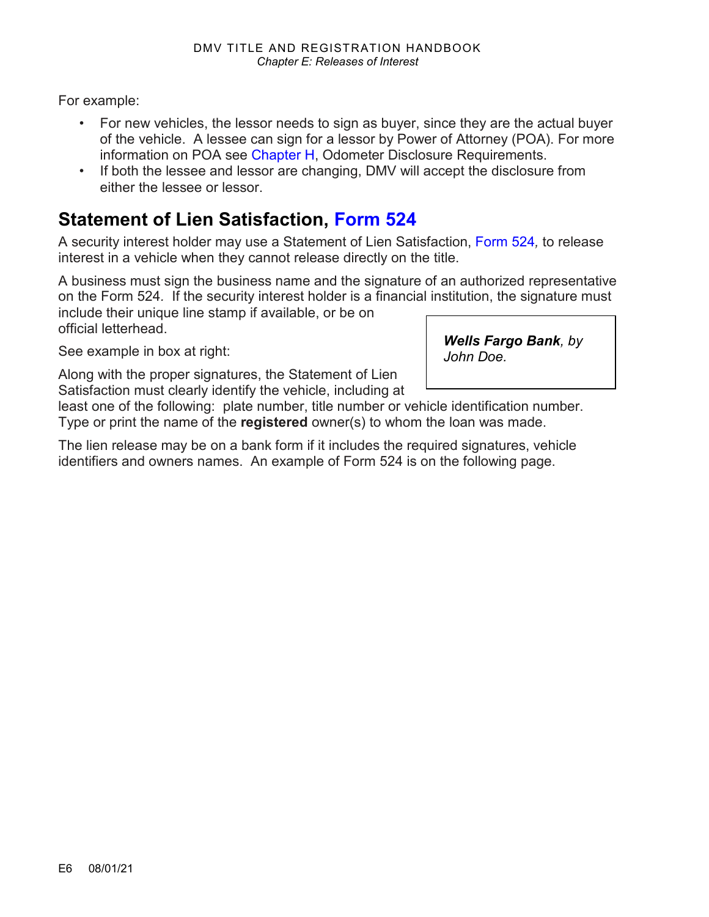For example:

- For new vehicles, the lessor needs to sign as buyer, since they are the actual buyer of the vehicle. A lessee can sign for a lessor by Power of Attorney (POA). For more information on POA see [Chapter H,](https://www.oregon.gov/odot/DMV/docs/Chapter_H.pdf) Odometer Disclosure Requirements.
- If both the lessee and lessor are changing, DMV will accept the disclosure from either the lessee or lessor.

# **Statement of Lien Satisfaction, [Form 524](https://www.odot.state.or.us/forms/dmv/524fill.pdf)**

A security interest holder may use a Statement of Lien Satisfaction, [Form 524](https://www.odot.state.or.us/forms/dmv/524fill.pdf)*,* to release interest in a vehicle when they cannot release directly on the title.

A business must sign the business name and the signature of an authorized representative on the Form 524*.* If the security interest holder is a financial institution, the signature must include their unique line stamp if available, or be on official letterhead.

See example in box at right:

Along with the proper signatures, the Statement of Lien Satisfaction must clearly identify the vehicle, including at

least one of the following: plate number, title number or vehicle identification number. Type or print the name of the **registered** owner(s) to whom the loan was made.

The lien release may be on a bank form if it includes the required signatures, vehicle identifiers and owners names. An example of Form 524 is on the following page.

*Wells Fargo Bank, by John Doe.*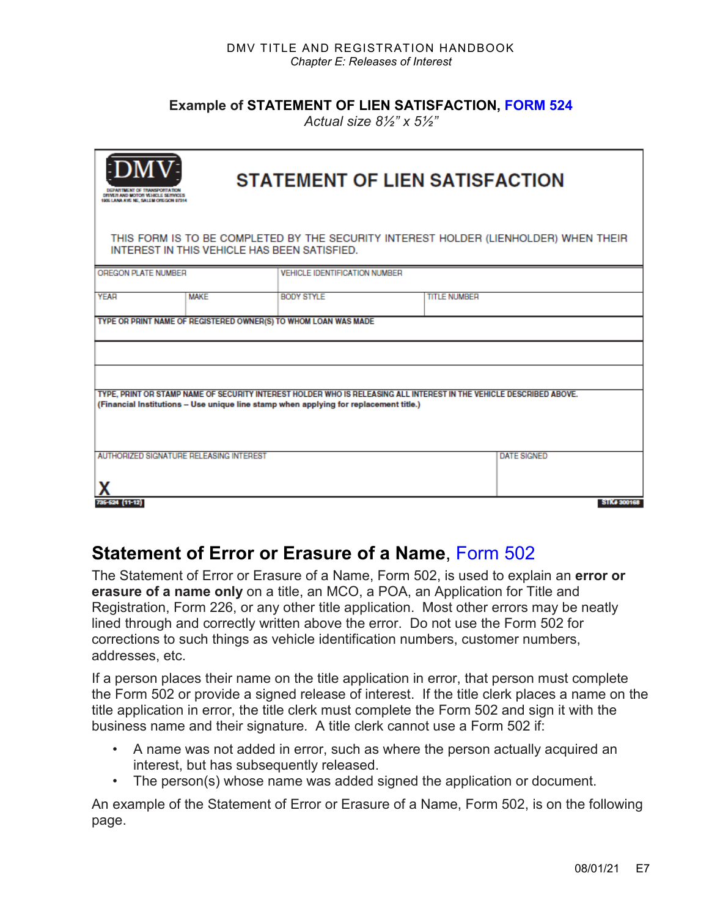**Example of STATEMENT OF LIEN SATISFACTION, [FORM 524](https://www.odot.state.or.us/forms/dmv/524fill.pdf)**

*Actual size 8½" x 5½"*

| <b>STATEMENT OF LIEN SATISFACTION</b><br>DRIVER AND MOTOR VEHICLE SERVICES<br>1906 LANA AVE NE, SALEM OREGON 97954                                                                                           |             |                                      |                     |                                   |
|--------------------------------------------------------------------------------------------------------------------------------------------------------------------------------------------------------------|-------------|--------------------------------------|---------------------|-----------------------------------|
| THIS FORM IS TO BE COMPLETED BY THE SECURITY INTEREST HOLDER (LIENHOLDER) WHEN THEIR<br>INTEREST IN THIS VEHICLE HAS BEEN SATISFIED.                                                                         |             |                                      |                     |                                   |
| OREGON PLATE NUMBER                                                                                                                                                                                          |             | <b>VEHICLE IDENTIFICATION NUMBER</b> |                     |                                   |
| <b>YEAR</b>                                                                                                                                                                                                  | <b>MAKE</b> | <b>BODY STYLE</b>                    | <b>TITLE NUMBER</b> |                                   |
| TYPE OR PRINT NAME OF REGISTERED OWNER(S) TO WHOM LOAN WAS MADE                                                                                                                                              |             |                                      |                     |                                   |
|                                                                                                                                                                                                              |             |                                      |                     |                                   |
|                                                                                                                                                                                                              |             |                                      |                     |                                   |
| TYPE, PRINT OR STAMP NAME OF SECURITY INTEREST HOLDER WHO IS RELEASING ALL INTEREST IN THE VEHICLE DESCRIBED ABOVE.<br>(Financial Institutions - Use unique line stamp when applying for replacement title.) |             |                                      |                     |                                   |
| AUTHORIZED SIGNATURE RELEASING INTEREST<br>735-524 (11-12)                                                                                                                                                   |             |                                      |                     | <b>DATE SIGNED</b><br>STK# 300168 |

### **Statement of Error or Erasure of a Name**, [Form 502](https://www.odot.state.or.us/forms/dmv/502fill.pdf)

The Statement of Error or Erasure of a Name, Form 502, is used to explain an **error or erasure of a name only** on a title, an MCO, a POA, an Application for Title and Registration, Form 226, or any other title application. Most other errors may be neatly lined through and correctly written above the error. Do not use the Form 502 for corrections to such things as vehicle identification numbers, customer numbers, addresses, etc.

If a person places their name on the title application in error, that person must complete the Form 502 or provide a signed release of interest. If the title clerk places a name on the title application in error, the title clerk must complete the Form 502 and sign it with the business name and their signature*.* A title clerk cannot use a Form 502 if:

- A name was not added in error, such as where the person actually acquired an interest, but has subsequently released.
- The person(s) whose name was added signed the application or document.

An example of the Statement of Error or Erasure of a Name, Form 502, is on the following page.